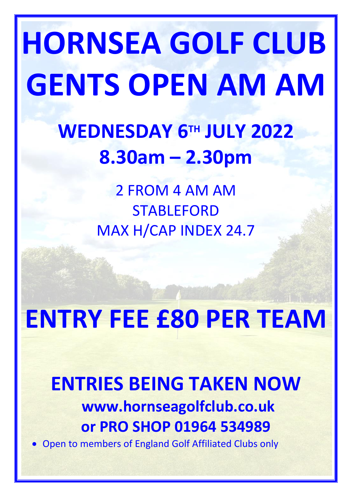# **HORNSEA GOLF CLUB GENTS OPEN AM AM**

## **WEDNESDAY 6 TH JULY 2022 8.30am – 2.30pm**

2 FROM 4 AM AM **STABLEFORD** MAX H/CAP INDEX 24.7

# **ENTRY FEE £80 PER TEAM**

### **ENTRIES BEING TAKEN NOW www.hornseagolfclub.co.uk or PRO SHOP 01964 534989**

• Open to members of England Golf Affiliated Clubs only